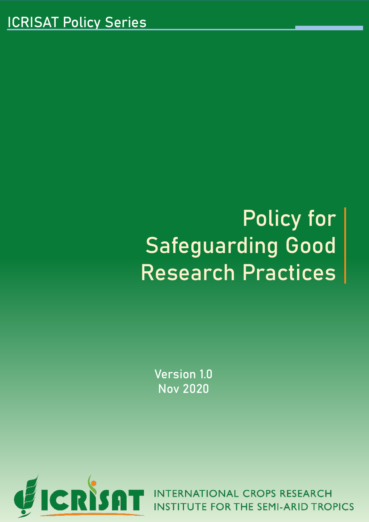# Policy for Safeguarding Good Research Practices

Version 1.0 Nov 2020



**INT ONAL CROPS RESEARCH INSTITUTE FOR THE SEMI-ARID TROPICS**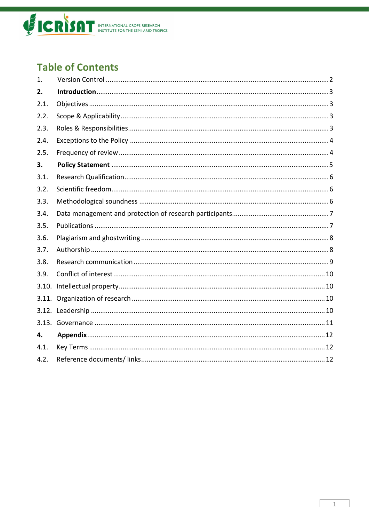

# **Table of Contents**

| 1.   |  |
|------|--|
| 2.   |  |
| 2.1. |  |
| 2.2. |  |
| 2.3. |  |
| 2.4. |  |
| 2.5. |  |
| 3.   |  |
| 3.1. |  |
| 3.2. |  |
| 3.3. |  |
| 3.4. |  |
| 3.5. |  |
| 3.6. |  |
| 3.7. |  |
| 3.8. |  |
| 3.9. |  |
|      |  |
|      |  |
|      |  |
|      |  |
| 4.   |  |
| 4.1. |  |
| 4.2. |  |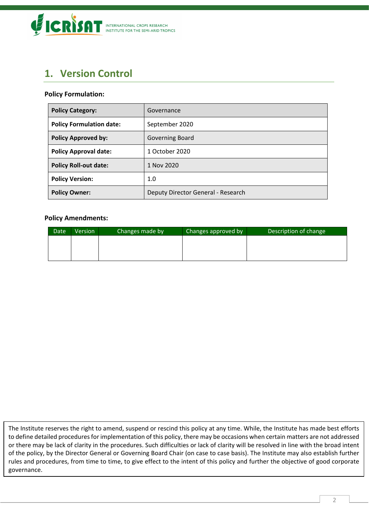

# <span id="page-2-0"></span>**1. Version Control**

#### **Policy Formulation:**

| <b>Policy Category:</b>         | Governance                         |  |
|---------------------------------|------------------------------------|--|
| <b>Policy Formulation date:</b> | September 2020                     |  |
| <b>Policy Approved by:</b>      | <b>Governing Board</b>             |  |
| <b>Policy Approval date:</b>    | 1 October 2020                     |  |
| <b>Policy Roll-out date:</b>    | 1 Nov 2020                         |  |
| <b>Policy Version:</b>          | 1.0                                |  |
| <b>Policy Owner:</b>            | Deputy Director General - Research |  |

#### **Policy Amendments:**

| Date | Version | Changes made by | Changes approved by | Description of change |
|------|---------|-----------------|---------------------|-----------------------|
|      |         |                 |                     |                       |
|      |         |                 |                     |                       |
|      |         |                 |                     |                       |

The Institute reserves the right to amend, suspend or rescind this policy at any time. While, the Institute has made best efforts to define detailed procedures for implementation of this policy, there may be occasions when certain matters are not addressed or there may be lack of clarity in the procedures. Such difficulties or lack of clarity will be resolved in line with the broad intent of the policy, by the Director General or Governing Board Chair (on case to case basis). The Institute may also establish further rules and procedures, from time to time, to give effect to the intent of this policy and further the objective of good corporate governance.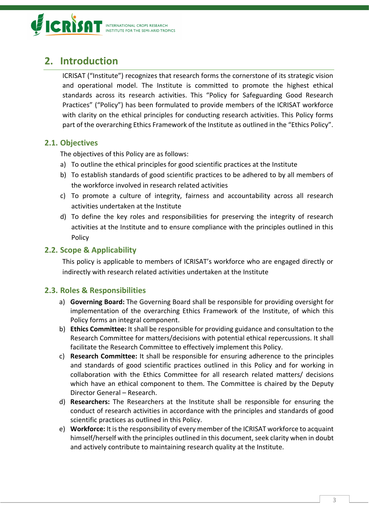

# <span id="page-3-0"></span>**2. Introduction**

ICRISAT ("Institute") recognizes that research forms the cornerstone of its strategic vision and operational model. The Institute is committed to promote the highest ethical standards across its research activities. This "Policy for Safeguarding Good Research Practices" ("Policy") has been formulated to provide members of the ICRISAT workforce with clarity on the ethical principles for conducting research activities. This Policy forms part of the overarching Ethics Framework of the Institute as outlined in the "Ethics Policy".

## <span id="page-3-1"></span>**2.1. Objectives**

The objectives of this Policy are as follows:

- a) To outline the ethical principles for good scientific practices at the Institute
- b) To establish standards of good scientific practices to be adhered to by all members of the workforce involved in research related activities
- c) To promote a culture of integrity, fairness and accountability across all research activities undertaken at the Institute
- d) To define the key roles and responsibilities for preserving the integrity of research activities at the Institute and to ensure compliance with the principles outlined in this Policy

## <span id="page-3-2"></span>**2.2. Scope & Applicability**

This policy is applicable to members of ICRISAT's workforce who are engaged directly or indirectly with research related activities undertaken at the Institute

# <span id="page-3-3"></span>**2.3. Roles & Responsibilities**

- a) **Governing Board:** The Governing Board shall be responsible for providing oversight for implementation of the overarching Ethics Framework of the Institute, of which this Policy forms an integral component.
- b) **Ethics Committee:** It shall be responsible for providing guidance and consultation to the Research Committee for matters/decisions with potential ethical repercussions. It shall facilitate the Research Committee to effectively implement this Policy.
- c) **Research Committee:** It shall be responsible for ensuring adherence to the principles and standards of good scientific practices outlined in this Policy and for working in collaboration with the Ethics Committee for all research related matters/ decisions which have an ethical component to them. The Committee is chaired by the Deputy Director General – Research.
- d) **Researchers:** The Researchers at the Institute shall be responsible for ensuring the conduct of research activities in accordance with the principles and standards of good scientific practices as outlined in this Policy.
- e) **Workforce:** It is the responsibility of every member of the ICRISAT workforce to acquaint himself/herself with the principles outlined in this document, seek clarity when in doubt and actively contribute to maintaining research quality at the Institute.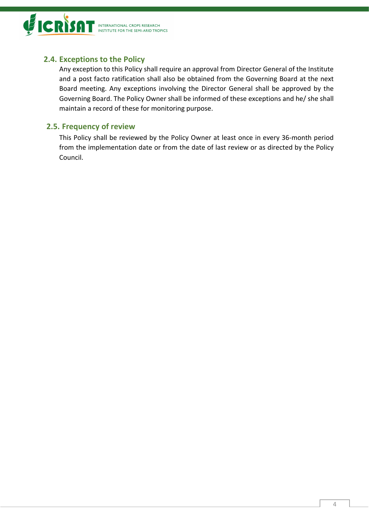

# <span id="page-4-0"></span>**2.4. Exceptions to the Policy**

Any exception to this Policy shall require an approval from Director General of the Institute and a post facto ratification shall also be obtained from the Governing Board at the next Board meeting. Any exceptions involving the Director General shall be approved by the Governing Board. The Policy Owner shall be informed of these exceptions and he/ she shall maintain a record of these for monitoring purpose.

# <span id="page-4-1"></span>**2.5. Frequency of review**

This Policy shall be reviewed by the Policy Owner at least once in every 36-month period from the implementation date or from the date of last review or as directed by the Policy Council.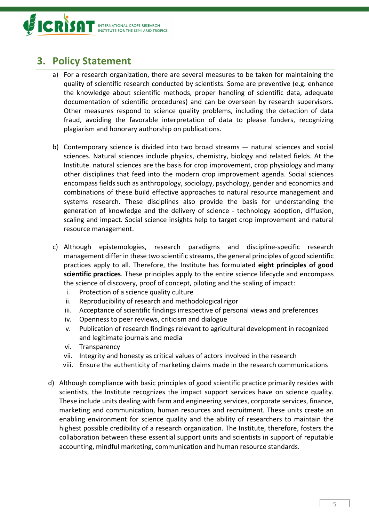

# <span id="page-5-0"></span>**3. Policy Statement**

- a) For a research organization, there are several measures to be taken for maintaining the quality of scientific research conducted by scientists. Some are preventive (e.g. enhance the knowledge about scientific methods, proper handling of scientific data, adequate documentation of scientific procedures) and can be overseen by research supervisors. Other measures respond to science quality problems, including the detection of data fraud, avoiding the favorable interpretation of data to please funders, recognizing plagiarism and honorary authorship on publications.
- b) Contemporary science is divided into two broad streams natural sciences and social sciences. Natural sciences include physics, chemistry, biology and related fields. At the Institute. natural sciences are the basis for crop improvement, crop physiology and many other disciplines that feed into the modern crop improvement agenda. Social sciences encompass fields such as anthropology, sociology, psychology, gender and economics and combinations of these build effective approaches to natural resource management and systems research. These disciplines also provide the basis for understanding the generation of knowledge and the delivery of science - technology adoption, diffusion, scaling and impact. Social science insights help to target crop improvement and natural resource management.
- c) Although epistemologies, research paradigms and discipline-specific research management differ in these two scientific streams, the general principles of good scientific practices apply to all. Therefore, the Institute has formulated **eight principles of good scientific practices**. These principles apply to the entire science lifecycle and encompass the science of discovery, proof of concept, piloting and the scaling of impact:
	- i. Protection of a science quality culture
	- ii. Reproducibility of research and methodological rigor
	- iii. Acceptance of scientific findings irrespective of personal views and preferences
	- iv. Openness to peer reviews, criticism and dialogue
	- v. Publication of research findings relevant to agricultural development in recognized and legitimate journals and media
	- vi. Transparency
	- vii. Integrity and honesty as critical values of actors involved in the research
	- viii. Ensure the authenticity of marketing claims made in the research communications
- d) Although compliance with basic principles of good scientific practice primarily resides with scientists, the Institute recognizes the impact support services have on science quality. These include units dealing with farm and engineering services, corporate services, finance, marketing and communication, human resources and recruitment. These units create an enabling environment for science quality and the ability of researchers to maintain the highest possible credibility of a research organization. The Institute, therefore, fosters the collaboration between these essential support units and scientists in support of reputable accounting, mindful marketing, communication and human resource standards.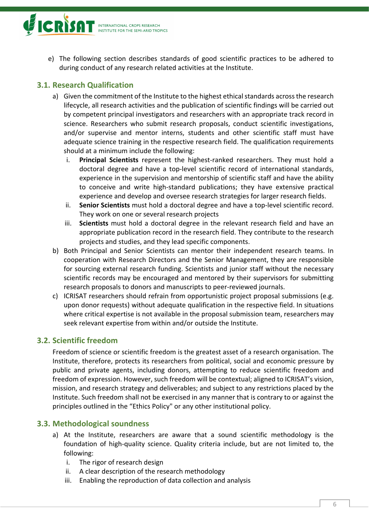

e) The following section describes standards of good scientific practices to be adhered to during conduct of any research related activities at the Institute.

# <span id="page-6-0"></span>**3.1. Research Qualification**

- a) Given the commitment of the Institute to the highest ethical standards across the research lifecycle, all research activities and the publication of scientific findings will be carried out by competent principal investigators and researchers with an appropriate track record in science. Researchers who submit research proposals, conduct scientific investigations, and/or supervise and mentor interns, students and other scientific staff must have adequate science training in the respective research field. The qualification requirements should at a minimum include the following:
	- i. **Principal Scientists** represent the highest-ranked researchers. They must hold a doctoral degree and have a top-level scientific record of international standards, experience in the supervision and mentorship of scientific staff and have the ability to conceive and write high-standard publications; they have extensive practical experience and develop and oversee research strategies for larger research fields.
	- ii. **Senior Scientists** must hold a doctoral degree and have a top-level scientific record. They work on one or several research projects
	- iii. **Scientists** must hold a doctoral degree in the relevant research field and have an appropriate publication record in the research field. They contribute to the research projects and studies, and they lead specific components.
- b) Both Principal and Senior Scientists can mentor their independent research teams. In cooperation with Research Directors and the Senior Management, they are responsible for sourcing external research funding. Scientists and junior staff without the necessary scientific records may be encouraged and mentored by their supervisors for submitting research proposals to donors and manuscripts to peer-reviewed journals.
- c) ICRISAT researchers should refrain from opportunistic project proposal submissions (e.g. upon donor requests) without adequate qualification in the respective field. In situations where critical expertise is not available in the proposal submission team, researchers may seek relevant expertise from within and/or outside the Institute.

#### <span id="page-6-1"></span>**3.2. Scientific freedom**

Freedom of science or scientific freedom is the greatest asset of a research organisation. The Institute, therefore, protects its researchers from political, social and economic pressure by public and private agents, including donors, attempting to reduce scientific freedom and freedom of expression. However, such freedom will be contextual; aligned to ICRISAT's vision, mission, and research strategy and deliverables; and subject to any restrictions placed by the Institute. Such freedom shall not be exercised in any manner that is contrary to or against the principles outlined in the "Ethics Policy" or any other institutional policy.

#### <span id="page-6-2"></span>**3.3. Methodological soundness**

- a) At the Institute, researchers are aware that a sound scientific methodology is the foundation of high-quality science. Quality criteria include, but are not limited to, the following:
	- i. The rigor of research design
	- ii. A clear description of the research methodology
	- iii. Enabling the reproduction of data collection and analysis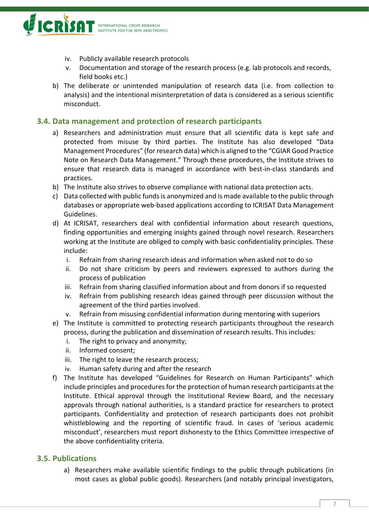

- iv. Publicly available research protocols
- v. Documentation and storage of the research process (e.g. lab protocols and records, field books etc.)
- b) The deliberate or unintended manipulation of research data (i.e. from collection to analysis) and the intentional misinterpretation of data is considered as a serious scientific misconduct.

#### <span id="page-7-0"></span>**3.4. Data management and protection of research participants**

- a) Researchers and administration must ensure that all scientific data is kept safe and protected from misuse by third parties. The Institute has also developed "Data Management Procedures" (for research data) which is aligned to the "CGIAR Good Practice Note on Research Data Management." Through these procedures, the Institute strives to ensure that research data is managed in accordance with best-in-class standards and practices.
- b) The Institute also strives to observe compliance with national data protection acts.
- c) Data collected with public funds is anonymized and is made available to the public through databases or appropriate web-based applications according to ICRISAT Data Management Guidelines.
- d) At ICRISAT, researchers deal with confidential information about research questions, finding opportunities and emerging insights gained through novel research. Researchers working at the Institute are obliged to comply with basic confidentiality principles. These include:
	- i. Refrain from sharing research ideas and information when asked not to do so
	- ii. Do not share criticism by peers and reviewers expressed to authors during the process of publication
	- iii. Refrain from sharing classified information about and from donors if so requested
	- iv. Refrain from publishing research ideas gained through peer discussion without the agreement of the third parties involved.
	- v. Refrain from misusing confidential information during mentoring with superiors
- e) The Institute is committed to protecting research participants throughout the research process, during the publication and dissemination of research results. This includes:
	- i. The right to privacy and anonymity;
	- ii. Informed consent;
	- iii. The right to leave the research process;
	- iv. Human safety during and after the research
- f) The Institute has developed "Guidelines for Research on Human Participants" which include principles and procedures for the protection of human research participants at the Institute. Ethical approval through the Institutional Review Board, and the necessary approvals through national authorities, is a standard practice for researchers to protect participants. Confidentiality and protection of research participants does not prohibit whistleblowing and the reporting of scientific fraud. In cases of 'serious academic misconduct', researchers must report dishonesty to the Ethics Committee irrespective of the above confidentiality criteria.

#### <span id="page-7-1"></span>**3.5. Publications**

a) Researchers make available scientific findings to the public through publications (in most cases as global public goods). Researchers (and notably principal investigators,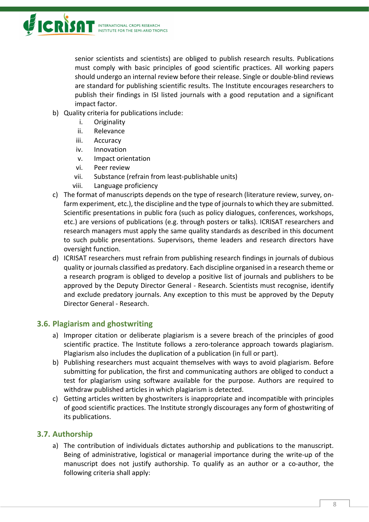senior scientists and scientists) are obliged to publish research results. Publications must comply with basic principles of good scientific practices. All working papers should undergo an internal review before their release. Single or double-blind reviews are standard for publishing scientific results. The Institute encourages researchers to publish their findings in [ISI listed journals](https://mjl.clarivate.com/home) with a good reputation and a significant impact factor.

- b) Quality criteria for publications include:
	- i. Originality
	- ii. Relevance
	- iii. Accuracy
	- iv. Innovation
	- v. Impact orientation
	- vi. Peer review
	- vii. Substance (refrain from least-publishable units)
	- viii. Language proficiency
- c) The format of manuscripts depends on the type of research (literature review, survey, onfarm experiment, etc.), the discipline and the type of journals to which they are submitted. Scientific presentations in public fora (such as policy dialogues, conferences, workshops, etc.) are versions of publications (e.g. through posters or talks). ICRISAT researchers and research managers must apply the same quality standards as described in this document to such public presentations. Supervisors, theme leaders and research directors have oversight function.
- d) ICRISAT researchers must refrain from publishing research findings in journals of dubious quality or journals classified as predatory. Each discipline organised in a research theme or a research program is obliged to develop a positive list of journals and publishers to be approved by the Deputy Director General - Research. Scientists must recognise, identify and exclude predatory journals. Any exception to this must be approved by the Deputy Director General - Research.

# <span id="page-8-0"></span>**3.6. Plagiarism and ghostwriting**

- a) Improper citation or deliberate plagiarism is a severe breach of the principles of good scientific practice. The Institute follows a zero-tolerance approach towards plagiarism. Plagiarism also includes the duplication of a publication (in full or part).
- b) Publishing researchers must acquaint themselves with ways to avoid plagiarism. Before submitting for publication, the first and communicating authors are obliged to conduct a test for plagiarism using software available for the purpose. Authors are required to withdraw published articles in which plagiarism is detected.
- c) Getting articles written by ghostwriters is inappropriate and incompatible with principles of good scientific practices. The Institute strongly discourages any form of ghostwriting of its publications.

# <span id="page-8-1"></span>**3.7. Authorship**

a) The contribution of individuals dictates authorship and publications to the manuscript. Being of administrative, logistical or managerial importance during the write-up of the manuscript does not justify authorship. To qualify as an author or a co-author, the following criteria shall apply: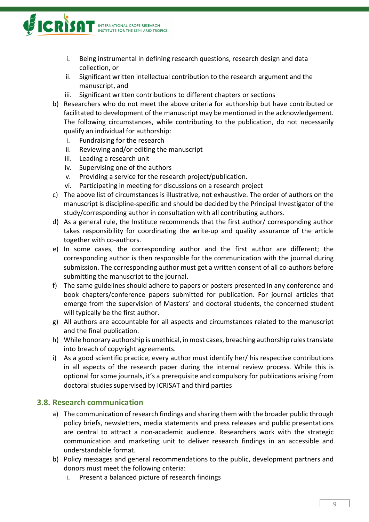

- i. Being instrumental in defining research questions, research design and data collection, or
- ii. Significant written intellectual contribution to the research argument and the manuscript, and
- iii. Significant written contributions to different chapters or sections
- b) Researchers who do not meet the above criteria for authorship but have contributed or facilitated to development of the manuscript may be mentioned in the acknowledgement. The following circumstances, while contributing to the publication, do not necessarily qualify an individual for authorship:
	- i. Fundraising for the research
	- ii. Reviewing and/or editing the manuscript
	- iii. Leading a research unit
	- iv. Supervising one of the authors
	- v. Providing a service for the research project/publication.
	- vi. Participating in meeting for discussions on a research project
- c) The above list of circumstances is illustrative, not exhaustive. The order of authors on the manuscript is discipline-specific and should be decided by the Principal Investigator of the study/corresponding author in consultation with all contributing authors.
- d) As a general rule, the Institute recommends that the first author/ corresponding author takes responsibility for coordinating the write-up and quality assurance of the article together with co-authors.
- e) In some cases, the corresponding author and the first author are different; the corresponding author is then responsible for the communication with the journal during submission. The corresponding author must get a written consent of all co-authors before submitting the manuscript to the journal.
- f) The same guidelines should adhere to papers or posters presented in any conference and book chapters/conference papers submitted for publication. For journal articles that emerge from the supervision of Masters' and doctoral students, the concerned student will typically be the first author.
- g) All authors are accountable for all aspects and circumstances related to the manuscript and the final publication.
- h) While honorary authorship is unethical, in most cases, breaching authorship rules translate into breach of copyright agreements.
- i) As a good scientific practice, every author must identify her/ his respective contributions in all aspects of the research paper during the internal review process. While this is optional for some journals, it's a prerequisite and compulsory for publications arising from doctoral studies supervised by ICRISAT and third parties

#### <span id="page-9-0"></span>**3.8. Research communication**

- a) The communication of research findings and sharing them with the broader public through policy briefs, newsletters, media statements and press releases and public presentations are central to attract a non-academic audience. Researchers work with the strategic communication and marketing unit to deliver research findings in an accessible and understandable format.
- b) Policy messages and general recommendations to the public, development partners and donors must meet the following criteria:
	- i. Present a balanced picture of research findings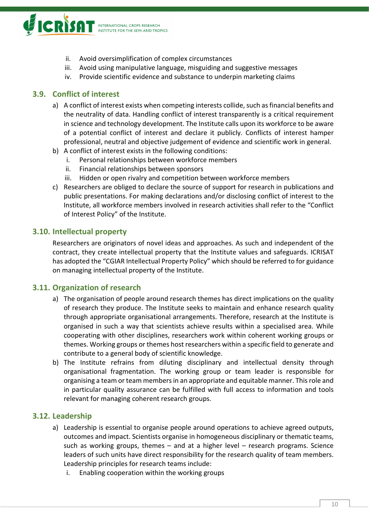

- ii. Avoid oversimplification of complex circumstances
- iii. Avoid using manipulative language, misguiding and suggestive messages
- iv. Provide scientific evidence and substance to underpin marketing claims

#### <span id="page-10-0"></span>**3.9. Conflict of interest**

- a) A conflict of interest exists when competing interests collide, such as financial benefits and the neutrality of data. Handling conflict of interest transparently is a critical requirement in science and technology development. The Institute calls upon its workforce to be aware of a potential conflict of interest and declare it publicly. Conflicts of interest hamper professional, neutral and objective judgement of evidence and scientific work in general.
- b) A conflict of interest exists in the following conditions:
	- i. Personal relationships between workforce members
	- ii. Financial relationships between sponsors
	- iii. Hidden or open rivalry and competition between workforce members
- c) Researchers are obliged to declare the source of support for research in publications and public presentations. For making declarations and/or disclosing conflict of interest to the Institute, all workforce members involved in research activities shall refer to the "Conflict of Interest Policy" of the Institute.

#### <span id="page-10-1"></span>**3.10. Intellectual property**

Researchers are originators of novel ideas and approaches. As such and independent of the contract, they create intellectual property that the Institute values and safeguards. ICRISAT has adopted the "CGIAR Intellectual Property Policy" which should be referred to for guidance on managing intellectual property of the Institute.

#### <span id="page-10-2"></span>**3.11. Organization of research**

- a) The organisation of people around research themes has direct implications on the quality of research they produce. The Institute seeks to maintain and enhance research quality through appropriate organisational arrangements. Therefore, research at the Institute is organised in such a way that scientists achieve results within a specialised area. While cooperating with other disciplines, researchers work within coherent working groups or themes. Working groups or themes host researchers within a specific field to generate and contribute to a general body of scientific knowledge.
- b) The Institute refrains from diluting disciplinary and intellectual density through organisational fragmentation. The working group or team leader is responsible for organising a team or team members in an appropriate and equitable manner. This role and in particular quality assurance can be fulfilled with full access to information and tools relevant for managing coherent research groups.

#### <span id="page-10-3"></span>**3.12. Leadership**

- a) Leadership is essential to organise people around operations to achieve agreed outputs, outcomes and impact. Scientists organise in homogeneous disciplinary or thematic teams, such as working groups, themes – and at a higher level – research programs. Science leaders of such units have direct responsibility for the research quality of team members. Leadership principles for research teams include:
	- i. Enabling cooperation within the working groups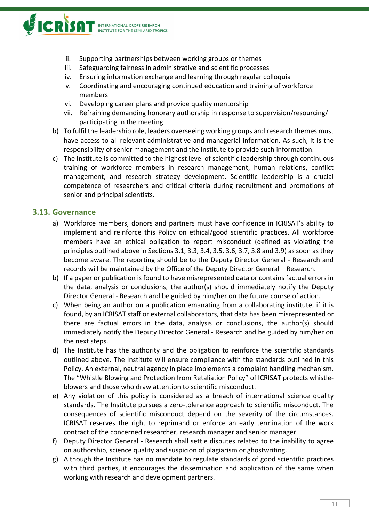

- ii. Supporting partnerships between working groups or themes
- iii. Safeguarding fairness in administrative and scientific processes
- iv. Ensuring information exchange and learning through regular colloquia
- v. Coordinating and encouraging continued education and training of workforce members
- vi. Developing career plans and provide quality mentorship
- vii. Refraining demanding honorary authorship in response to supervision/resourcing/ participating in the meeting
- b) To fulfil the leadership role, leaders overseeing working groups and research themes must have access to all relevant administrative and managerial information. As such, it is the responsibility of senior management and the Institute to provide such information.
- c) The Institute is committed to the highest level of scientific leadership through continuous training of workforce members in research management, human relations, conflict management, and research strategy development. Scientific leadership is a crucial competence of researchers and critical criteria during recruitment and promotions of senior and principal scientists.

#### <span id="page-11-0"></span>**3.13. Governance**

- a) Workforce members, donors and partners must have confidence in ICRISAT's ability to implement and reinforce this Policy on ethical/good scientific practices. All workforce members have an ethical obligation to report misconduct (defined as violating the principles outlined above in Sections 3.1, 3.3, 3.4, 3.5, 3.6, 3.7, 3.8 and 3.9) as soon as they become aware. The reporting should be to the Deputy Director General - Research and records will be maintained by the Office of the Deputy Director General – Research.
- b) If a paper or publication is found to have misrepresented data or contains factual errors in the data, analysis or conclusions, the author(s) should immediately notify the Deputy Director General - Research and be guided by him/her on the future course of action.
- c) When being an author on a publication emanating from a collaborating institute, if it is found, by an ICRISAT staff or external collaborators, that data has been misrepresented or there are factual errors in the data, analysis or conclusions, the author(s) should immediately notify the Deputy Director General - Research and be guided by him/her on the next steps.
- d) The Institute has the authority and the obligation to reinforce the scientific standards outlined above. The Institute will ensure compliance with the standards outlined in this Policy. An external, neutral agency in place implements a complaint handling mechanism. The "Whistle Blowing and Protection from Retaliation Policy" of ICRISAT protects whistleblowers and those who draw attention to scientific misconduct.
- e) Any violation of this policy is considered as a breach of international science quality standards. The Institute pursues a zero-tolerance approach to scientific misconduct. The consequences of scientific misconduct depend on the severity of the circumstances. ICRISAT reserves the right to reprimand or enforce an early termination of the work contract of the concerned researcher, research manager and senior manager.
- f) Deputy Director General Research shall settle disputes related to the inability to agree on authorship, science quality and suspicion of plagiarism or ghostwriting.
- g) Although the Institute has no mandate to regulate standards of good scientific practices with third parties, it encourages the dissemination and application of the same when working with research and development partners.